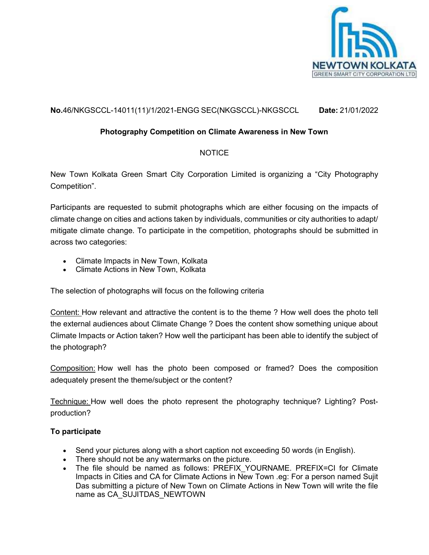

# No.46/NKGSCCL-14011(11)/1/2021-ENGG SEC(NKGSCCL)-NKGSCCL Date: 21/01/2022

## Photography Competition on Climate Awareness in New Town

# NOTICE

New Town Kolkata Green Smart City Corporation Limited is organizing a "City Photography Competition".

Participants are requested to submit photographs which are either focusing on the impacts of climate change on cities and actions taken by individuals, communities or city authorities to adapt/ mitigate climate change. To participate in the competition, photographs should be submitted in across two categories:

- Climate Impacts in New Town, Kolkata
- Climate Actions in New Town, Kolkata

The selection of photographs will focus on the following criteria

Content: How relevant and attractive the content is to the theme ? How well does the photo tell the external audiences about Climate Change ? Does the content show something unique about Climate Impacts or Action taken? How well the participant has been able to identify the subject of the photograph?

Composition: How well has the photo been composed or framed? Does the composition adequately present the theme/subject or the content?

Technique: How well does the photo represent the photography technique? Lighting? Postproduction?

# To participate

- Send your pictures along with a short caption not exceeding 50 words (in English).
- There should not be any watermarks on the picture.
- The file should be named as follows: PREFIX YOURNAME. PREFIX=CI for Climate Impacts in Cities and CA for Climate Actions in New Town .eg: For a person named Sujit Das submitting a picture of New Town on Climate Actions in New Town will write the file name as CA\_SUJITDAS\_NEWTOWN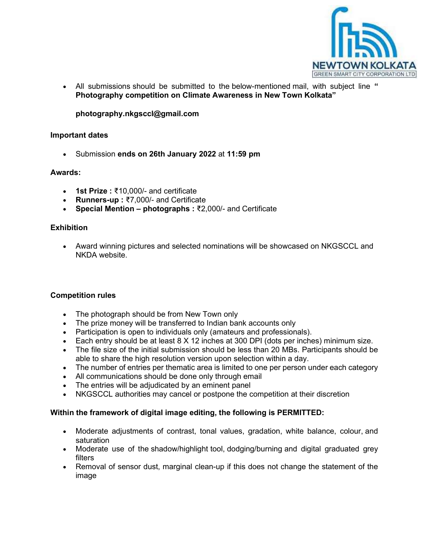

• All submissions should be submitted to the below-mentioned mail, with subject line " Photography competition on Climate Awareness in New Town Kolkata"

## photography.nkgsccl@gmail.com

#### Important dates

Submission ends on 26th January 2022 at 11:59 pm

#### Awards:

- 1st Prize : ₹10,000/- and certificate
- Runners-up : ₹7,000/- and Certificate
- Special Mention photographs : ₹2,000/- and Certificate

#### **Exhibition**

 Award winning pictures and selected nominations will be showcased on NKGSCCL and NKDA website.

### Competition rules

- The photograph should be from New Town only
- The prize money will be transferred to Indian bank accounts only
- Participation is open to individuals only (amateurs and professionals).
- Each entry should be at least  $8 \times 12$  inches at 300 DPI (dots per inches) minimum size.
- The file size of the initial submission should be less than 20 MBs. Participants should be able to share the high resolution version upon selection within a day.
- The number of entries per thematic area is limited to one per person under each category
- All communications should be done only through email
- The entries will be adjudicated by an eminent panel
- NKGSCCL authorities may cancel or postpone the competition at their discretion

#### Within the framework of digital image editing, the following is PERMITTED:

- Moderate adjustments of contrast, tonal values, gradation, white balance, colour, and saturation
- Moderate use of the shadow/highlight tool, dodging/burning and digital graduated grey filters
- Removal of sensor dust, marginal clean-up if this does not change the statement of the image